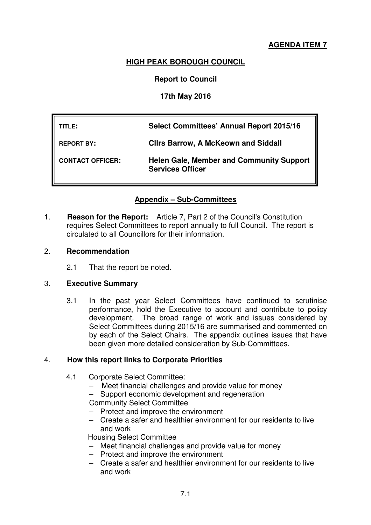# **AGENDA ITEM 7**

# **HIGH PEAK BOROUGH COUNCIL**

## **Report to Council**

## **17th May 2016**

| TITLE:                  | <b>Select Committees' Annual Report 2015/16</b>                            |
|-------------------------|----------------------------------------------------------------------------|
| <b>REPORT BY:</b>       | <b>Clirs Barrow, A McKeown and Siddall</b>                                 |
| <b>CONTACT OFFICER:</b> | <b>Helen Gale, Member and Community Support</b><br><b>Services Officer</b> |

# **Appendix – Sub-Committees**

1. **Reason for the Report:** Article 7, Part 2 of the Council's Constitution requires Select Committees to report annually to full Council. The report is circulated to all Councillors for their information.

#### 2. **Recommendation**

2.1 That the report be noted.

## 3. **Executive Summary**

3.1 In the past year Select Committees have continued to scrutinise performance, hold the Executive to account and contribute to policy development. The broad range of work and issues considered by Select Committees during 2015/16 are summarised and commented on by each of the Select Chairs. The appendix outlines issues that have been given more detailed consideration by Sub-Committees.

#### 4. **How this report links to Corporate Priorities**

- 4.1 Corporate Select Committee:
	- Meet financial challenges and provide value for money

– Support economic development and regeneration

Community Select Committee

- Protect and improve the environment
- Create a safer and healthier environment for our residents to live and work

Housing Select Committee

- Meet financial challenges and provide value for money
- Protect and improve the environment
- Create a safer and healthier environment for our residents to live and work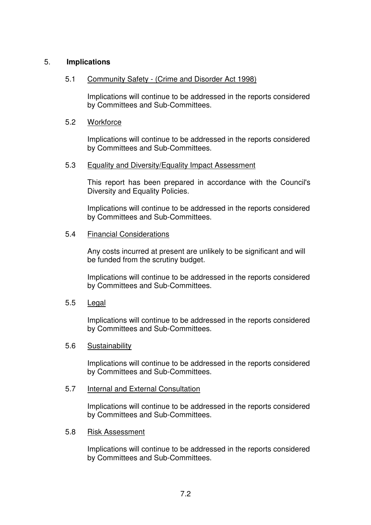## 5. **Implications**

## 5.1 Community Safety - (Crime and Disorder Act 1998)

Implications will continue to be addressed in the reports considered by Committees and Sub-Committees.

#### 5.2 Workforce

Implications will continue to be addressed in the reports considered by Committees and Sub-Committees.

#### 5.3 Equality and Diversity/Equality Impact Assessment

This report has been prepared in accordance with the Council's Diversity and Equality Policies.

Implications will continue to be addressed in the reports considered by Committees and Sub-Committees.

#### 5.4 Financial Considerations

Any costs incurred at present are unlikely to be significant and will be funded from the scrutiny budget.

Implications will continue to be addressed in the reports considered by Committees and Sub-Committees.

#### 5.5 Legal

Implications will continue to be addressed in the reports considered by Committees and Sub-Committees.

#### 5.6 Sustainability

Implications will continue to be addressed in the reports considered by Committees and Sub-Committees.

#### 5.7 Internal and External Consultation

Implications will continue to be addressed in the reports considered by Committees and Sub-Committees.

#### 5.8 Risk Assessment

Implications will continue to be addressed in the reports considered by Committees and Sub-Committees.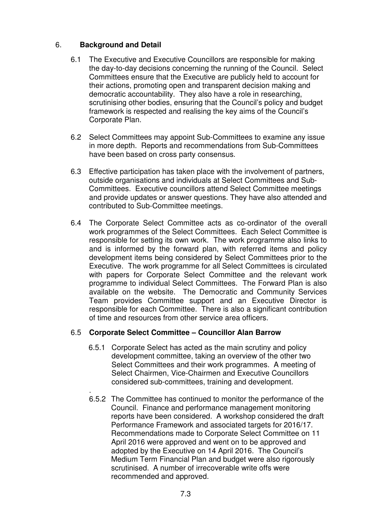# 6. **Background and Detail**

- 6.1 The Executive and Executive Councillors are responsible for making the day-to-day decisions concerning the running of the Council. Select Committees ensure that the Executive are publicly held to account for their actions, promoting open and transparent decision making and democratic accountability. They also have a role in researching, scrutinising other bodies, ensuring that the Council's policy and budget framework is respected and realising the key aims of the Council's Corporate Plan.
- 6.2 Select Committees may appoint Sub-Committees to examine any issue in more depth. Reports and recommendations from Sub-Committees have been based on cross party consensus.
- 6.3 Effective participation has taken place with the involvement of partners, outside organisations and individuals at Select Committees and Sub-Committees. Executive councillors attend Select Committee meetings and provide updates or answer questions. They have also attended and contributed to Sub-Committee meetings.
- 6.4 The Corporate Select Committee acts as co-ordinator of the overall work programmes of the Select Committees. Each Select Committee is responsible for setting its own work. The work programme also links to and is informed by the forward plan, with referred items and policy development items being considered by Select Committees prior to the Executive. The work programme for all Select Committees is circulated with papers for Corporate Select Committee and the relevant work programme to individual Select Committees. The Forward Plan is also available on the website. The Democratic and Community Services Team provides Committee support and an Executive Director is responsible for each Committee. There is also a significant contribution of time and resources from other service area officers.

# 6.5 **Corporate Select Committee – Councillor Alan Barrow**

- 6.5.1 Corporate Select has acted as the main scrutiny and policy development committee, taking an overview of the other two Select Committees and their work programmes. A meeting of Select Chairmen, Vice-Chairmen and Executive Councillors considered sub-committees, training and development.
- . 6.5.2 The Committee has continued to monitor the performance of the Council. Finance and performance management monitoring reports have been considered. A workshop considered the draft Performance Framework and associated targets for 2016/17. Recommendations made to Corporate Select Committee on 11 April 2016 were approved and went on to be approved and adopted by the Executive on 14 April 2016. The Council's Medium Term Financial Plan and budget were also rigorously scrutinised. A number of irrecoverable write offs were recommended and approved.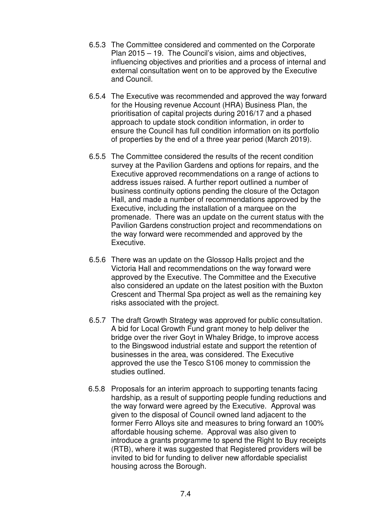- 6.5.3 The Committee considered and commented on the Corporate Plan 2015 – 19. The Council's vision, aims and objectives, influencing objectives and priorities and a process of internal and external consultation went on to be approved by the Executive and Council.
- 6.5.4 The Executive was recommended and approved the way forward for the Housing revenue Account (HRA) Business Plan, the prioritisation of capital projects during 2016/17 and a phased approach to update stock condition information, in order to ensure the Council has full condition information on its portfolio of properties by the end of a three year period (March 2019).
- 6.5.5 The Committee considered the results of the recent condition survey at the Pavilion Gardens and options for repairs, and the Executive approved recommendations on a range of actions to address issues raised. A further report outlined a number of business continuity options pending the closure of the Octagon Hall, and made a number of recommendations approved by the Executive, including the installation of a marquee on the promenade. There was an update on the current status with the Pavilion Gardens construction project and recommendations on the way forward were recommended and approved by the Executive.
- 6.5.6 There was an update on the Glossop Halls project and the Victoria Hall and recommendations on the way forward were approved by the Executive. The Committee and the Executive also considered an update on the latest position with the Buxton Crescent and Thermal Spa project as well as the remaining key risks associated with the project.
- 6.5.7 The draft Growth Strategy was approved for public consultation. A bid for Local Growth Fund grant money to help deliver the bridge over the river Goyt in Whaley Bridge, to improve access to the Bingswood industrial estate and support the retention of businesses in the area, was considered. The Executive approved the use the Tesco S106 money to commission the studies outlined.
- 6.5.8 Proposals for an interim approach to supporting tenants facing hardship, as a result of supporting people funding reductions and the way forward were agreed by the Executive. Approval was given to the disposal of Council owned land adjacent to the former Ferro Alloys site and measures to bring forward an 100% affordable housing scheme. Approval was also given to introduce a grants programme to spend the Right to Buy receipts (RTB), where it was suggested that Registered providers will be invited to bid for funding to deliver new affordable specialist housing across the Borough.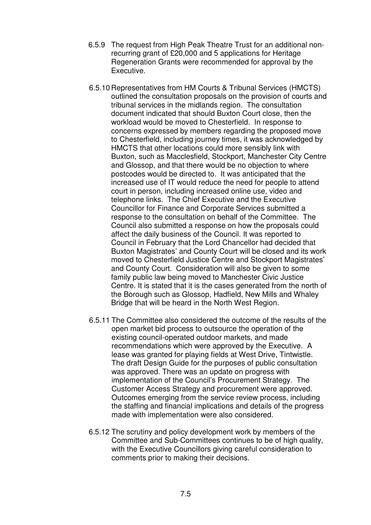- 6.5.9 The request from High Peak Theatre Trust for an additional nonrecurring grant of £20,000 and 5 applications for Heritage Regeneration Grants were recommended for approval by the Executive.
- 6.5.10 Representatives from HM Courts & Tribunal Services (HMCTS) outlined the consultation proposals on the provision of courts and tribunal services in the midlands region. The consultation document indicated that should Buxton Court close, then the workload would be moved to Chesterfield. In response to concerns expressed by members regarding the proposed move to Chesterfield, including journey times, it was acknowledged by HMCTS that other locations could more sensibly link with Buxton, such as Macclesfield, Stockport, Manchester City Centre and Glossop, and that there would be no objection to where postcodes would be directed to. It was anticipated that the increased use of IT would reduce the need for people to attend court in person, including increased online use, video and telephone links. The Chief Executive and the Executive Councillor for Finance and Corporate Services submitted a response to the consultation on behalf of the Committee. The Council also submitted a response on how the proposals could affect the daily business of the Council. It was reported to Council in February that the Lord Chancellor had decided that Buxton Magistrates' and County Court will be closed and its work moved to Chesterfield Justice Centre and Stockport Magistrates' and County Court. Consideration will also be given to some family public law being moved to Manchester Civic Justice Centre. It is stated that it is the cases generated from the north of the Borough such as Glossop, Hadfield, New Mills and Whaley Bridge that will be heard in the North West Region.
- 6.5.11 The Committee also considered the outcome of the results of the open market bid process to outsource the operation of the existing council-operated outdoor markets, and made recommendations which were approved by the Executive. A lease was granted for playing fields at West Drive, Tintwistle. The draft Design Guide for the purposes of public consultation was approved. There was an update on progress with implementation of the Council's Procurement Strategy. The Customer Access Strategy and procurement were approved. Outcomes emerging from the service review process, including the staffing and financial implications and details of the progress made with implementation were also considered.
- 6.5.12 The scrutiny and policy development work by members of the Committee and Sub-Committees continues to be of high quality. with the Executive Councillors giving careful consideration to comments prior to making their decisions.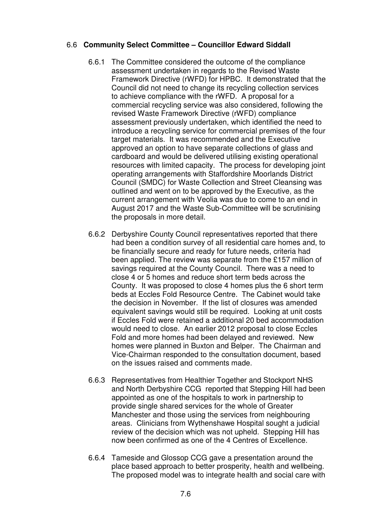## 6.6 **Community Select Committee – Councillor Edward Siddall**

- 6.6.1 The Committee considered the outcome of the compliance assessment undertaken in regards to the Revised Waste Framework Directive (rWFD) for HPBC. It demonstrated that the Council did not need to change its recycling collection services to achieve compliance with the rWFD. A proposal for a commercial recycling service was also considered, following the revised Waste Framework Directive (rWFD) compliance assessment previously undertaken, which identified the need to introduce a recycling service for commercial premises of the four target materials. It was recommended and the Executive approved an option to have separate collections of glass and cardboard and would be delivered utilising existing operational resources with limited capacity. The process for developing joint operating arrangements with Staffordshire Moorlands District Council (SMDC) for Waste Collection and Street Cleansing was outlined and went on to be approved by the Executive, as the current arrangement with Veolia was due to come to an end in August 2017 and the Waste Sub-Committee will be scrutinising the proposals in more detail.
- 6.6.2 Derbyshire County Council representatives reported that there had been a condition survey of all residential care homes and, to be financially secure and ready for future needs, criteria had been applied. The review was separate from the £157 million of savings required at the County Council. There was a need to close 4 or 5 homes and reduce short term beds across the County. It was proposed to close 4 homes plus the 6 short term beds at Eccles Fold Resource Centre. The Cabinet would take the decision in November. If the list of closures was amended equivalent savings would still be required. Looking at unit costs if Eccles Fold were retained a additional 20 bed accommodation would need to close. An earlier 2012 proposal to close Eccles Fold and more homes had been delayed and reviewed. New homes were planned in Buxton and Belper. The Chairman and Vice-Chairman responded to the consultation document, based on the issues raised and comments made.
- 6.6.3 Representatives from Healthier Together and Stockport NHS and North Derbyshire CCG reported that Stepping Hill had been appointed as one of the hospitals to work in partnership to provide single shared services for the whole of Greater Manchester and those using the services from neighbouring areas. Clinicians from Wythenshawe Hospital sought a judicial review of the decision which was not upheld. Stepping Hill has now been confirmed as one of the 4 Centres of Excellence.
- 6.6.4 Tameside and Glossop CCG gave a presentation around the place based approach to better prosperity, health and wellbeing. The proposed model was to integrate health and social care with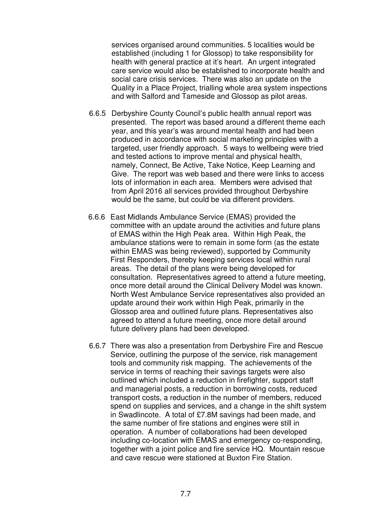services organised around communities. 5 localities would be established (including 1 for Glossop) to take responsibility for health with general practice at it's heart. An urgent integrated care service would also be established to incorporate health and social care crisis services. There was also an update on the Quality in a Place Project, trialling whole area system inspections and with Salford and Tameside and Glossop as pilot areas.

- 6.6.5 Derbyshire County Council's public health annual report was presented. The report was based around a different theme each year, and this year's was around mental health and had been produced in accordance with social marketing principles with a targeted, user friendly approach. 5 ways to wellbeing were tried and tested actions to improve mental and physical health, namely, Connect, Be Active, Take Notice, Keep Learning and Give. The report was web based and there were links to access lots of information in each area. Members were advised that from April 2016 all services provided throughout Derbyshire would be the same, but could be via different providers.
- 6.6.6 East Midlands Ambulance Service (EMAS) provided the committee with an update around the activities and future plans of EMAS within the High Peak area. Within High Peak, the ambulance stations were to remain in some form (as the estate within EMAS was being reviewed), supported by Community First Responders, thereby keeping services local within rural areas. The detail of the plans were being developed for consultation. Representatives agreed to attend a future meeting, once more detail around the Clinical Delivery Model was known. North West Ambulance Service representatives also provided an update around their work within High Peak, primarily in the Glossop area and outlined future plans. Representatives also agreed to attend a future meeting, once more detail around future delivery plans had been developed.
- 6.6.7 There was also a presentation from Derbyshire Fire and Rescue Service, outlining the purpose of the service, risk management tools and community risk mapping. The achievements of the service in terms of reaching their savings targets were also outlined which included a reduction in firefighter, support staff and managerial posts, a reduction in borrowing costs, reduced transport costs, a reduction in the number of members, reduced spend on supplies and services, and a change in the shift system in Swadlincote. A total of £7.8M savings had been made, and the same number of fire stations and engines were still in operation. A number of collaborations had been developed including co-location with EMAS and emergency co-responding, together with a joint police and fire service HQ. Mountain rescue and cave rescue were stationed at Buxton Fire Station.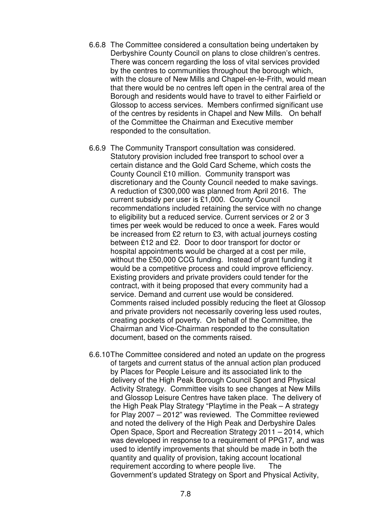- 6.6.8 The Committee considered a consultation being undertaken by Derbyshire County Council on plans to close children's centres. There was concern regarding the loss of vital services provided by the centres to communities throughout the borough which, with the closure of New Mills and Chapel-en-le-Frith, would mean that there would be no centres left open in the central area of the Borough and residents would have to travel to either Fairfield or Glossop to access services. Members confirmed significant use of the centres by residents in Chapel and New Mills. On behalf of the Committee the Chairman and Executive member responded to the consultation.
- 6.6.9 The Community Transport consultation was considered. Statutory provision included free transport to school over a certain distance and the Gold Card Scheme, which costs the County Council £10 million. Community transport was discretionary and the County Council needed to make savings. A reduction of £300,000 was planned from April 2016. The current subsidy per user is £1,000. County Council recommendations included retaining the service with no change to eligibility but a reduced service. Current services or 2 or 3 times per week would be reduced to once a week. Fares would be increased from £2 return to £3, with actual journeys costing between £12 and £2. Door to door transport for doctor or hospital appointments would be charged at a cost per mile, without the £50,000 CCG funding. Instead of grant funding it would be a competitive process and could improve efficiency. Existing providers and private providers could tender for the contract, with it being proposed that every community had a service. Demand and current use would be considered. Comments raised included possibly reducing the fleet at Glossop and private providers not necessarily covering less used routes, creating pockets of poverty. On behalf of the Committee, the Chairman and Vice-Chairman responded to the consultation document, based on the comments raised.
- 6.6.10 The Committee considered and noted an update on the progress of targets and current status of the annual action plan produced by Places for People Leisure and its associated link to the delivery of the High Peak Borough Council Sport and Physical Activity Strategy. Committee visits to see changes at New Mills and Glossop Leisure Centres have taken place. The delivery of the High Peak Play Strategy "Playtime in the Peak – A strategy for Play 2007 – 2012" was reviewed. The Committee reviewed and noted the delivery of the High Peak and Derbyshire Dales Open Space, Sport and Recreation Strategy 2011 – 2014, which was developed in response to a requirement of PPG17, and was used to identify improvements that should be made in both the quantity and quality of provision, taking account locational requirement according to where people live. The Government's updated Strategy on Sport and Physical Activity,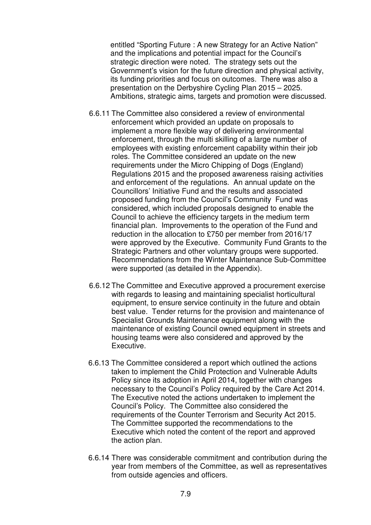entitled "Sporting Future : A new Strategy for an Active Nation" and the implications and potential impact for the Council's strategic direction were noted. The strategy sets out the Government's vision for the future direction and physical activity, its funding priorities and focus on outcomes. There was also a presentation on the Derbyshire Cycling Plan 2015 – 2025. Ambitions, strategic aims, targets and promotion were discussed.

- 6.6.11 The Committee also considered a review of environmental enforcement which provided an update on proposals to implement a more flexible way of delivering environmental enforcement, through the multi skilling of a large number of employees with existing enforcement capability within their job roles. The Committee considered an update on the new requirements under the Micro Chipping of Dogs (England) Regulations 2015 and the proposed awareness raising activities and enforcement of the regulations. An annual update on the Councillors' Initiative Fund and the results and associated proposed funding from the Council's Community Fund was considered, which included proposals designed to enable the Council to achieve the efficiency targets in the medium term financial plan. Improvements to the operation of the Fund and reduction in the allocation to £750 per member from 2016/17 were approved by the Executive. Community Fund Grants to the Strategic Partners and other voluntary groups were supported. Recommendations from the Winter Maintenance Sub-Committee were supported (as detailed in the Appendix).
- 6.6.12 The Committee and Executive approved a procurement exercise with regards to leasing and maintaining specialist horticultural equipment, to ensure service continuity in the future and obtain best value. Tender returns for the provision and maintenance of Specialist Grounds Maintenance equipment along with the maintenance of existing Council owned equipment in streets and housing teams were also considered and approved by the Executive.
- 6.6.13 The Committee considered a report which outlined the actions taken to implement the Child Protection and Vulnerable Adults Policy since its adoption in April 2014, together with changes necessary to the Council's Policy required by the Care Act 2014. The Executive noted the actions undertaken to implement the Council's Policy. The Committee also considered the requirements of the Counter Terrorism and Security Act 2015. The Committee supported the recommendations to the Executive which noted the content of the report and approved the action plan.
- 6.6.14 There was considerable commitment and contribution during the year from members of the Committee, as well as representatives from outside agencies and officers.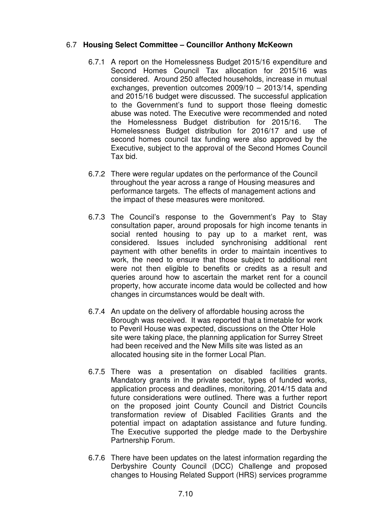## 6.7 **Housing Select Committee – Councillor Anthony McKeown**

- 6.7.1 A report on the Homelessness Budget 2015/16 expenditure and Second Homes Council Tax allocation for 2015/16 was considered. Around 250 affected households, increase in mutual exchanges, prevention outcomes 2009/10 – 2013/14, spending and 2015/16 budget were discussed. The successful application to the Government's fund to support those fleeing domestic abuse was noted. The Executive were recommended and noted the Homelessness Budget distribution for 2015/16.The Homelessness Budget distribution for 2016/17 and use of second homes council tax funding were also approved by the Executive, subject to the approval of the Second Homes Council Tax bid.
- 6.7.2 There were regular updates on the performance of the Council throughout the year across a range of Housing measures and performance targets. The effects of management actions and the impact of these measures were monitored.
- 6.7.3 The Council's response to the Government's Pay to Stay consultation paper, around proposals for high income tenants in social rented housing to pay up to a market rent, was considered. Issues included synchronising additional rent payment with other benefits in order to maintain incentives to work, the need to ensure that those subject to additional rent were not then eligible to benefits or credits as a result and queries around how to ascertain the market rent for a council property, how accurate income data would be collected and how changes in circumstances would be dealt with.
- 6.7.4 An update on the delivery of affordable housing across the Borough was received. It was reported that a timetable for work to Peveril House was expected, discussions on the Otter Hole site were taking place, the planning application for Surrey Street had been received and the New Mills site was listed as an allocated housing site in the former Local Plan.
- 6.7.5 There was a presentation on disabled facilities grants. Mandatory grants in the private sector, types of funded works, application process and deadlines, monitoring, 2014/15 data and future considerations were outlined. There was a further report on the proposed joint County Council and District Councils transformation review of Disabled Facilities Grants and the potential impact on adaptation assistance and future funding. The Executive supported the pledge made to the Derbyshire Partnership Forum.
- 6.7.6 There have been updates on the latest information regarding the Derbyshire County Council (DCC) Challenge and proposed changes to Housing Related Support (HRS) services programme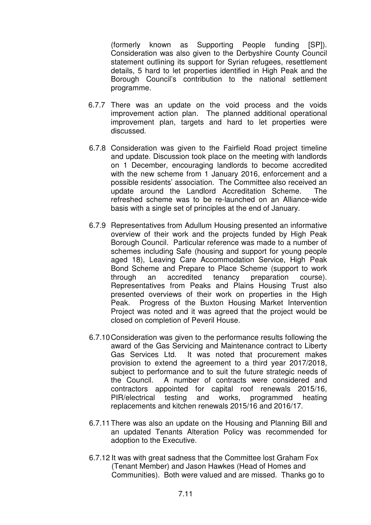(formerly known as Supporting People funding [SP]). Consideration was also given to the Derbyshire County Council statement outlining its support for Syrian refugees, resettlement details, 5 hard to let properties identified in High Peak and the Borough Council's contribution to the national settlement programme.

- 6.7.7 There was an update on the void process and the voids improvement action plan. The planned additional operational improvement plan, targets and hard to let properties were discussed.
- 6.7.8 Consideration was given to the Fairfield Road project timeline and update. Discussion took place on the meeting with landlords on 1 December, encouraging landlords to become accredited with the new scheme from 1 January 2016, enforcement and a possible residents' association. The Committee also received an update around the Landlord Accreditation Scheme. The refreshed scheme was to be re-launched on an Alliance-wide basis with a single set of principles at the end of January.
- 6.7.9 Representatives from Adullum Housing presented an informative overview of their work and the projects funded by High Peak Borough Council. Particular reference was made to a number of schemes including Safe (housing and support for young people aged 18), Leaving Care Accommodation Service, High Peak Bond Scheme and Prepare to Place Scheme (support to work through an accredited tenancy preparation course). Representatives from Peaks and Plains Housing Trust also presented overviews of their work on properties in the High Peak. Progress of the Buxton Housing Market Intervention Project was noted and it was agreed that the project would be closed on completion of Peveril House.
- 6.7.10 Consideration was given to the performance results following the award of the Gas Servicing and Maintenance contract to Liberty Gas Services Ltd. It was noted that procurement makes provision to extend the agreement to a third year 2017/2018, subject to performance and to suit the future strategic needs of the Council. A number of contracts were considered and contractors appointed for capital roof renewals 2015/16, PIR/electrical testing and works, programmed heating replacements and kitchen renewals 2015/16 and 2016/17.
- 6.7.11 There was also an update on the Housing and Planning Bill and an updated Tenants Alteration Policy was recommended for adoption to the Executive.
- 6.7.12 It was with great sadness that the Committee lost Graham Fox (Tenant Member) and Jason Hawkes (Head of Homes and Communities). Both were valued and are missed. Thanks go to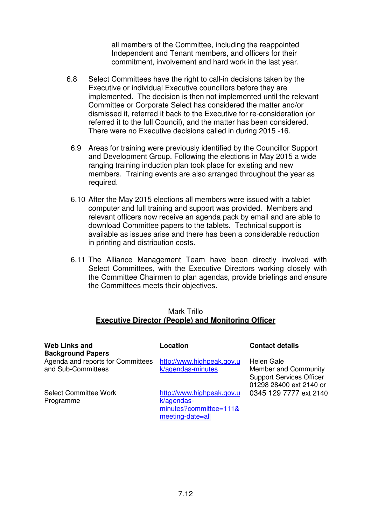all members of the Committee, including the reappointed Independent and Tenant members, and officers for their commitment, involvement and hard work in the last year.

- 6.8 Select Committees have the right to call-in decisions taken by the Executive or individual Executive councillors before they are implemented. The decision is then not implemented until the relevant Committee or Corporate Select has considered the matter and/or dismissed it, referred it back to the Executive for re-consideration (or referred it to the full Council), and the matter has been considered. There were no Executive decisions called in during 2015 -16.
	- 6.9 Areas for training were previously identified by the Councillor Support and Development Group. Following the elections in May 2015 a wide ranging training induction plan took place for existing and new members. Training events are also arranged throughout the year as required.
	- 6.10 After the May 2015 elections all members were issued with a tablet computer and full training and support was provided. Members and relevant officers now receive an agenda pack by email and are able to download Committee papers to the tablets. Technical support is available as issues arise and there has been a considerable reduction in printing and distribution costs.
- 6.11 The Alliance Management Team have been directly involved with Select Committees, with the Executive Directors working closely with the Committee Chairmen to plan agendas, provide briefings and ensure the Committees meets their objectives.

#### Mark Trillo **Executive Director (People) and Monitoring Officer**

| <b>Web Links and</b><br><b>Background Papers</b>        | Location                                                                              | <b>Contact details</b>                                                                           |
|---------------------------------------------------------|---------------------------------------------------------------------------------------|--------------------------------------------------------------------------------------------------|
| Agenda and reports for Committees<br>and Sub-Committees | http://www.highpeak.gov.u<br>k/agendas-minutes                                        | Helen Gale<br>Member and Community<br><b>Support Services Officer</b><br>01298 28400 ext 2140 or |
| <b>Select Committee Work</b><br>Programme               | http://www.highpeak.gov.u<br>k/agendas-<br>minutes?committee=111&<br>meeting-date=all | 0345 129 7777 ext 2140                                                                           |